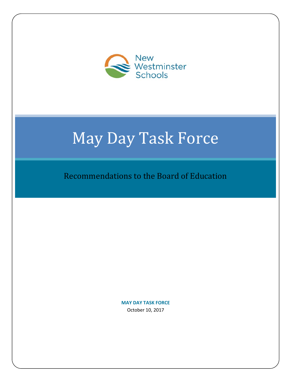

# May Day Task Force

Recommendations to the Board of Education

**MAY DAY TASK FORCE** October 10, 2017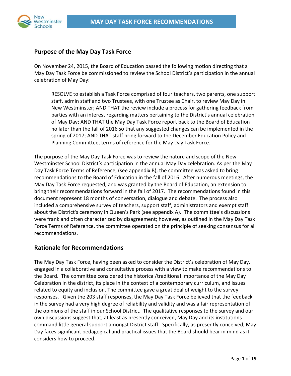

# **Purpose of the May Day Task Force**

On November 24, 2015, the Board of Education passed the following motion directing that a May Day Task Force be commissioned to review the School District's participation in the annual celebration of May Day:

RESOLVE to establish a Task Force comprised of four teachers, two parents, one support staff, admin staff and two Trustees, with one Trustee as Chair, to review May Day in New Westminster; AND THAT the review include a process for gathering feedback from parties with an interest regarding matters pertaining to the District's annual celebration of May Day; AND THAT the May Day Task Force report back to the Board of Education no later than the fall of 2016 so that any suggested changes can be implemented in the spring of 2017; AND THAT staff bring forward to the December Education Policy and Planning Committee, terms of reference for the May Day Task Force.

The purpose of the May Day Task Force was to review the nature and scope of the New Westminster School District's participation in the annual May Day celebration. As per the May Day Task Force Terms of Reference, (see appendix B), the committee was asked to bring recommendations to the Board of Education in the fall of 2016. After numerous meetings, the May Day Task Force requested, and was granted by the Board of Education, an extension to bring their recommendations forward in the fall of 2017. The recommendations found in this document represent 18 months of conversation, dialogue and debate. The process also included a comprehensive survey of teachers, support staff, administrators and exempt staff about the District's ceremony in Queen's Park (see appendix A). The committee's discussions were frank and often characterized by disagreement; however, as outlined in the May Day Task Force Terms of Reference, the committee operated on the principle of seeking consensus for all recommendations.

## **Rationale for Recommendations**

The May Day Task Force, having been asked to consider the District's celebration of May Day, engaged in a collaborative and consultative process with a view to make recommendations to the Board. The committee considered the historical/traditional importance of the May Day Celebration in the district, its place in the context of a contemporary curriculum, and issues related to equity and inclusion. The committee gave a great deal of weight to the survey responses. Given the 203 staff responses, the May Day Task Force believed that the feedback in the survey had a very high degree of reliability and validity and was a fair representation of the opinions of the staff in our School District. The qualitative responses to the survey and our own discussions suggest that, at least as presently conceived, May Day and its institutions command little general support amongst District staff. Specifically, as presently conceived, May Day faces significant pedagogical and practical issues that the Board should bear in mind as it considers how to proceed.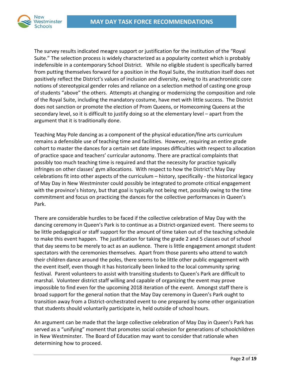

The survey results indicated meagre support or justification for the institution of the "Royal Suite." The selection process is widely characterized as a popularity contest which is probably indefensible in a contemporary School District. While no eligible student is specifically barred from putting themselves forward for a position in the Royal Suite, the institution itself does not positively reflect the District's values of inclusion and diversity, owing to its anachronistic core notions of stereotypical gender roles and reliance on a selection method of casting one group of students "above" the others. Attempts at changing or modernizing the composition and role of the Royal Suite, including the mandatory costume, have met with little success. The District does not sanction or promote the election of Prom Queens, or Homecoming Queens at the secondary level, so it is difficult to justify doing so at the elementary level – apart from the argument that it is traditionally done.

Teaching May Pole dancing as a component of the physical education/fine arts curriculum remains a defensible use of teaching time and facilities. However, requiring an entire grade cohort to master the dances for a certain set date imposes difficulties with respect to allocation of practice space and teachers' curricular autonomy. There are practical complaints that possibly too much teaching time is required and that the necessity for practice typically infringes on other classes' gym allocations. With respect to how the District's May Day celebrations fit into other aspects of the curriculum – history, specifically ‐ the historical legacy of May Day in New Westminster could possibly be integrated to promote critical engagement with the province's history, but that goal is typically not being met, possibly owing to the time commitment and focus on practicing the dances for the collective performances in Queen's Park.

There are considerable hurdles to be faced if the collective celebration of May Day with the dancing ceremony in Queen's Park is to continue as a District-organized event. There seems to be little pedagogical or staff support for the amount of time taken out of the teaching schedule to make this event happen. The justification for taking the grade 2 and 5 classes out of school that day seems to be merely to act as an audience. There is little engagement amongst student spectators with the ceremonies themselves. Apart from those parents who attend to watch their children dance around the poles, there seems to be little other public engagement with the event itself, even though it has historically been linked to the local community spring festival. Parent volunteers to assist with transiting students to Queen's Park are difficult to marshal. Volunteer district staff willing and capable of organizing the event may prove impossible to find even for the upcoming 2018 iteration of the event. Amongst staff there is broad support for the general notion that the May Day ceremony in Queen's Park ought to transition away from a District‐orchestrated event to one prepared by some other organization that students should voluntarily participate in, held outside of school hours.

An argument can be made that the large collective celebration of May Day in Queen's Park has served as a "unifying" moment that promotes social cohesion for generations of schoolchildren in New Westminster. The Board of Education may want to consider that rationale when determining how to proceed.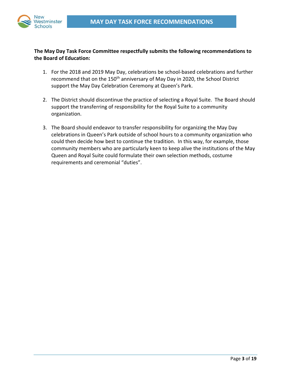



## **The May Day Task Force Committee respectfully submits the following recommendations to the Board of Education:**

- 1. For the 2018 and 2019 May Day, celebrations be school‐based celebrations and further recommend that on the 150<sup>th</sup> anniversary of May Day in 2020, the School District support the May Day Celebration Ceremony at Queen's Park.
- 2. The District should discontinue the practice of selecting a Royal Suite. The Board should support the transferring of responsibility for the Royal Suite to a community organization.
- 3. The Board should endeavor to transfer responsibility for organizing the May Day celebrations in Queen's Park outside of school hours to a community organization who could then decide how best to continue the tradition. In this way, for example, those community members who are particularly keen to keep alive the institutions of the May Queen and Royal Suite could formulate their own selection methods, costume requirements and ceremonial "duties".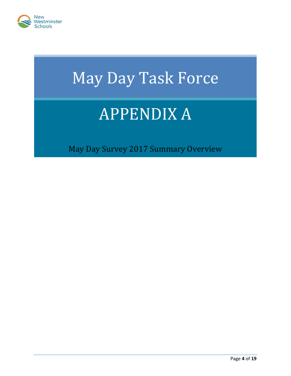

# May Day Task Force

# APPENDIX A

May Day Survey 2017 Summary Overview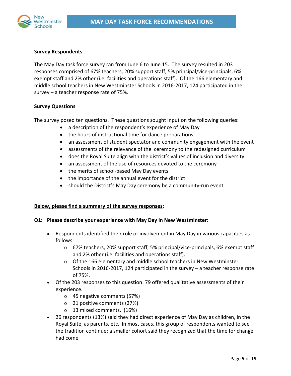

### **Survey Respondents**

The May Day task force survey ran from June 6 to June 15. The survey resulted in 203 responses comprised of 67% teachers, 20% support staff, 5% principal/vice-principals, 6% exempt staff and 2% other (i.e. facilities and operations staff). Of the 166 elementary and middle school teachers in New Westminster Schools in 2016‐2017, 124 participated in the survey – a teacher response rate of 75%.

#### **Survey Questions**

The survey posed ten questions. These questions sought input on the following queries:

- a description of the respondent's experience of May Day
- the hours of instructional time for dance preparations
- an assessment of student spectator and community engagement with the event
- assessments of the relevance of the ceremony to the redesigned curriculum
- does the Royal Suite align with the district's values of inclusion and diversity
- an assessment of the use of resources devoted to the ceremony
- the merits of school-based May Day events
- the importance of the annual event for the district
- should the District's May Day ceremony be a community-run event

#### **Below, please find a summary of the survey responses:**

#### **Q1: Please describe your experience with May Day in New Westminster:**

- Respondents identified their role or involvement in May Day in various capacities as follows:
	- o 67% teachers, 20% support staff, 5% principal/vice‐principals, 6% exempt staff and 2% other (i.e. facilities and operations staff).
	- o Of the 166 elementary and middle school teachers in New Westminster Schools in 2016‐2017, 124 participated in the survey – a teacher response rate of 75%.
- Of the 203 responses to this question: 79 offered qualitative assessments of their experience.
	- o 45 negative comments (57%)
	- o 21 positive comments (27%)
	- o 13 mixed comments. (16%)
- 26 respondents (13%) said they had direct experience of May Day as children, in the Royal Suite, as parents, etc. In most cases, this group of respondents wanted to see the tradition continue; a smaller cohort said they recognized that the time for change had come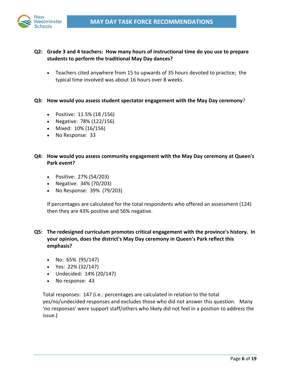

- **Q2: Grade 3 and 4 teachers: How many hours of instructional time do you use to prepare students to perform the traditional May Day dances?**
	- Teachers cited anywhere from 15 to upwards of 35 hours devoted to practice; the typical time involved was about 16 hours over 8 weeks.
- **Q3: How would you assess student spectator engagement with the May Day ceremony**?
	- Positive: 11.5% (18 /156)
	- Negative: 78% (122/156)
	- Mixed: 10% (16/156)
	- No Response: 33
- **Q4: How would you assess community engagement with the May Day ceremony at Queen's Park event?**
	- Positive: 27% (54/203)
	- Negative: 34% (70/203)
	- No Response: 39% (79/203)

If percentages are calculated for the total respondents who offered an assessment (124) then they are 43% positive and 56% negative.

- **Q5: The redesigned curriculum promotes critical engagement with the province's history. In your opinion, does the district's May Day ceremony in Queen's Park reflect this emphasis?**
	- $\bullet$  No: 65% (95/147)
	- Yes: 22% (32/147)
	- Undecided: 14% (20/147)
	- No response: 43

Total responses: 147 (i.e.: percentages are calculated in relation to the total yes/no/undecided responses and excludes those who did not answer this question. Many 'no responses' were support staff/others who likely did not feel in a position to address the issue.)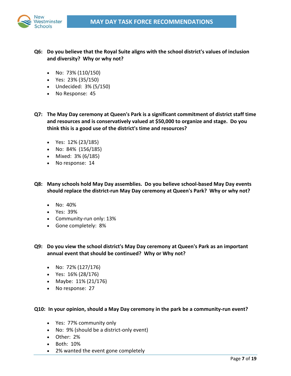

- **Q6: Do you believe that the Royal Suite aligns with the school district's values of inclusion and diversity? Why or why not?**
	- No:  $73\%$  (110/150)
	- Yes: 23% (35/150)
	- Undecided: 3% (5/150)
	- No Response: 45
- **Q7: The May Day ceremony at Queen's Park is a significant commitment of district staff time and resources and is conservatively valued at \$50,000 to organize and stage. Do you think this is a good use of the district's time and resources?**
	- $\bullet$  Yes: 12% (23/185)
	- No:  $84\%$  (156/185)
	- Mixed: 3% (6/185)
	- No response: 14
- **Q8: Many schools hold May Day assemblies. Do you believe school‐based May Day events should replace the district‐run May Day ceremony at Queen's Park? Why or why not?**
	- $\bullet$  No:  $40\%$
	- Yes: 39%
	- Community‐run only: 13%
	- Gone completely: 8%

**Q9: Do you view the school district's May Day ceremony at Queen's Park as an important annual event that should be continued? Why or Why not?**

- No:  $72\% (127/176)$
- Yes: 16% (28/176)
- Maybe: 11% (21/176)
- No response: 27

#### **Q10: In your opinion, should a May Day ceremony in the park be a community‐run event?**

- Yes: 77% community only
- No: 9% (should be a district-only event)
- Other: 2%
- Both: 10%
- 2% wanted the event gone completely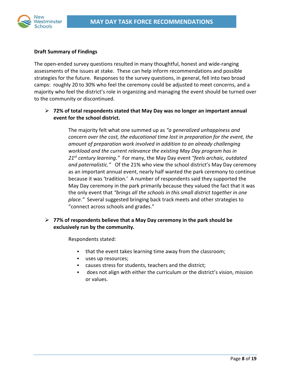

### **Draft Summary of Findings**

The open‐ended survey questions resulted in many thoughtful, honest and wide‐ranging assessments of the issues at stake. These can help inform recommendations and possible strategies for the future. Responses to the survey questions, in general, fell into two broad camps: roughly 20 to 30% who feel the ceremony could be adjusted to meet concerns, and a majority who feel the district's role in organizing and managing the event should be turned over to the community or discontinued.

## **72% of total respondents stated that May Day was no longer an important annual event for the school district.**

The majority felt what one summed up as *"a generalized unhappiness and concern over the cost, the educational time lost in preparation for the event, the amount of preparation work involved in addition to an already challenging workload and the current relevance the existing May Day program has in 21st century learning."* For many, the May Day event *"feels archaic, outdated and paternalistic."* Of the 21% who view the school district's May Day ceremony as an important annual event, nearly half wanted the park ceremony to continue because it was 'tradition.' A number of respondents said they supported the May Day ceremony in the park primarily because they valued the fact that it was the only event that *"brings all the schools in this small district together in one place."* Several suggested bringing back track meets and other strategies to "connect across schools and grades."

## **77% of respondents believe that a May Day ceremony in the park should be exclusively run by the community.**

Respondents stated:

- that the event takes learning time away from the classroom;
- uses up resources;
- causes stress for students, teachers and the district;
- does not align with either the curriculum or the district's vision, mission or values.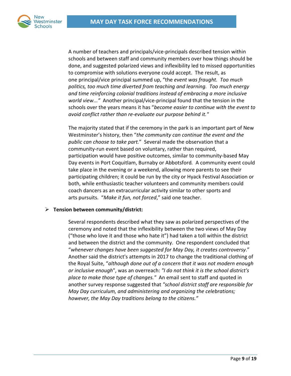

A number of teachers and principals/vice‐principals described tension within schools and between staff and community members over how things should be done, and suggested polarized views and inflexibility led to missed opportunities to compromise with solutions everyone could accept. The result, as one principal/vice principal summed up, "the *event was fraught. Too much politics, too much time diverted from teaching and learning. Too much energy and time reinforcing colonial traditions instead of embracing a more inclusive world view...*" Another principal/vice-principal found that the tension in the schools over the years means it has "*become easier to continue with the event to avoid conflict rather than re‐evaluate our purpose behind it."* 

The majority stated that if the ceremony in the park is an important part of New Westminster's history, then "*the community can continue the event and the public can choose to take part.*" Several made the observation that a community‐run event based on voluntary, rather than required, participation would have positive outcomes, similar to community‐based May Day events in Port Coquitlam, Burnaby or Abbotsford*.* A community event could take place in the evening or a weekend, allowing more parents to see their participating children; it could be run by the city or Hyack Festival Association or both, while enthusiastic teacher volunteers and community members could coach dancers as an extracurricular activity similar to other sports and arts pursuits. "*Make it fun, not forced*," said one teacher.

#### **Tension between community/district:**

Several respondents described what they saw as polarized perspectives of the ceremony and noted that the inflexibility between the two views of May Day ("those who love it and those who hate it") had taken a toll within the district and between the district and the community. One respondent concluded that "*whenever changes have been suggested for May Day, it creates controversy*." Another said the district's attempts in 2017 to change the traditional clothing of the Royal Suite, "*although done out of a concern that it was not modern enough or inclusive enough*", was an overreach: *"I do not think it is the school district's place to make those type of changes."* An email sent to staff and quoted in another survey response suggested that *"school district staff are responsible for May Day curriculum, and administering and organizing the celebrations; however, the May Day traditions belong to the citizens."*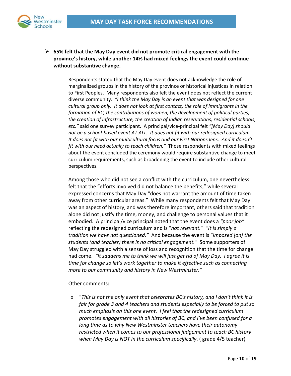

 **65% felt that the May Day event did not promote critical engagement with the province's history, while another 14% had mixed feelings the event could continue without substantive change.**

> Respondents stated that the May Day event does not acknowledge the role of marginalized groups in the history of the province or historical injustices in relation to First Peoples. Many respondents also felt the event does not reflect the current diverse community. *"I think the May Day is an event that was designed for one cultural group only. It does not look at first contact, the role of immigrants in the formation of BC, the contributions of women, the development of political parties, the creation of infrastructure, the creation of Indian reservations, residential schools, etc."* said one survey participant. A principal/vice‐principal felt *"[May Day] should not be a school‐based event AT ALL. It does not fit with our redesigned curriculum. It does not fit with our multicultural focus and our First Nations lens. And it doesn't fit with our need actually to teach children."* Those respondents with mixed feelings about the event concluded the ceremony would require substantive change to meet curriculum requirements, such as broadening the event to include other cultural perspectives.

> Among those who did not see a conflict with the curriculum, one nevertheless felt that the "efforts involved did not balance the benefits," while several expressed concerns that May Day "does not warrant the amount of time taken away from other curricular areas." While many respondents felt that May Day was an aspect of history, and was therefore important, others said that tradition alone did not justify the time, money, and challenge to personal values that it embodied. A principal/vice principal noted that the event does a *"poor job"* reflecting the redesigned curriculum and is "*not relevant." "It is simply a tradition we have not questioned."* And because the event is "*imposed [on] the students (and teacher) there is no critical engagement."* Some supporters of May Day struggled with a sense of loss and recognition that the time for change had come. *"It saddens me to think we will just get rid of May Day. I agree it is time for change so let's work together to make it effective such as connecting more to our community and history in New Westminster."*

Other comments:

o "*This is not the only event that celebrates BC's history, and I don't think it is fair for grade 3 and 4 teachers and students especially to be forced to put so much emphasis on this one event. I feel that the redesigned curriculum promotes engagement with all histories of BC, and I've been confused for a long time as to why New Westminster teachers have their autonomy restricted when it comes to our professional judgement to teach BC history when May Day is NOT in the curriculum specifically*. ( grade 4/5 teacher)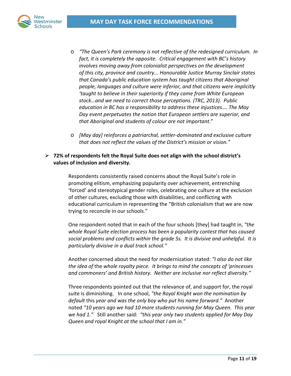

- o *"The Queen's Park ceremony is not reflective of the redesigned curriculum. In fact, it is completely the opposite. Critical engagement with BC's history involves moving away from colonialist perspectives on the development of this city, province and country... Honourable Justice Murray Sinclair states that Canada's public education system has taught citizens that Aboriginal people, languages and culture were inferior, and that citizens were implicitly 'taught to believe in their superiority if they came from White European stock…and we need to correct those perceptions. (TRC, 2013). Public education in BC has a responsibility to address these injustices…. The May Day event perpetuates the notion that European settlers are superior, and that Aboriginal and students of colour are not important*."
- o *[May day] reinforces a patriarchal, settler‐dominated and exclusive culture that does not reflect the values of the District's mission or vision."*

## **72% of respondents felt the Royal Suite does not align with the school district's values of inclusion and diversity.**

Respondents consistently raised concerns about the Royal Suite's role in promoting elitism, emphasizing popularity over achievement, entrenching 'forced' and stereotypical gender roles, celebrating one culture at the exclusion of other cultures, excluding those with disabilities, and conflicting with educational curriculum in representing the "British colonialism that we are now trying to reconcile in our schools."

One respondent noted that in each of the four schools [they] had taught in, *"the whole Royal Suite election process has been a popularity contest that has caused social problems and conflicts within the grade 5s. It is divisive and unhelpful. It is particularly divisive in a dual track school."*

Another concerned about the need for modernization stated: *"I also do not like the idea of* the *whole royalty piece. It brings to mind the concepts of 'princesses and commoners' and British history. Neither are inclusive nor reflect diversity."* 

Three respondents pointed out that the relevance of, and support for, the royal suite is diminishing. In one school, *"the Royal Knight won the nomination by default* this *year and was the only boy who put his name forward."* Another noted *"10 years ago we had 10 more students running for May Queen. This year we had 1."* Still another said: *"this year only two students applied for May Day Queen and royal Knight at the school that I am in."*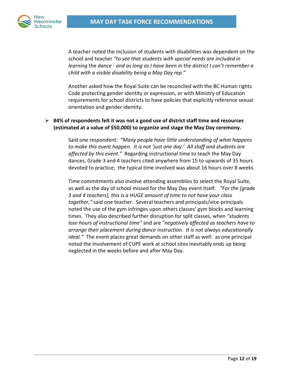

A teacher noted the inclusion of students with disabilities was dependent on the school and teacher *"to see that students with special needs are included in learning* the *dance ‐ and as long as I have been in the district I can't remember a child with a visible disability being a May Day rep."*

Another asked how the Royal Suite can be reconciled with the BC Human rights Code protecting gender identity or expression, or with Ministry of Education requirements for school districts to have policies that explicitly reference sexual orientation and gender identity.

## **84% of respondents felt it was not a good use of district staff time and resources (estimated at a value of \$50,000) to organize and stage the May Day ceremony.**

Said one respondent: *"Many people have little understanding of what happens to make this event happen. It is not 'just one day.' All staff and students are affected by this event."* Regarding instructional time to teach the May Day dances, Grade 3 and 4 teachers cited anywhere from 15 to upwards of 35 hours devoted to practice; the typical time involved was about 16 hours over 8 weeks.

Time commitments also involve attending assemblies to select the Royal Suite, as well as the day of school missed for the May Day event itself*. "For the [grade 3 and 4 teachers], this is a HUGE amount of time to not have your class together,"* said one teacher. Several teachers and principals/vice‐principals noted the use of the gym infringes upon others classes' gym blocks and learning times. They also described further disruption for split classes, when *"students lose hours of instructional time"* and are *"negatively affected as teachers have to arrange their placement during dance instruction. It is not always educationally ideal."* The event places great demands on other staff as well: as one principal noted the involvement of CUPE work at school sites inevitably ends up being neglected in the weeks before and after May Day.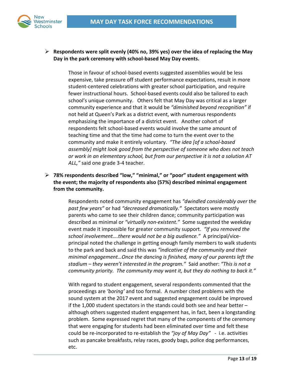

## **Respondents were split evenly (40% no, 39% yes) over the idea of replacing the May Day in the park ceremony with school‐based May Day events.**

Those in favour of school‐based events suggested assemblies would be less expensive, take pressure off student performance expectations, result in more student‐centered celebrations with greater school participation, and require fewer instructional hours. School-based events could also be tailored to each school's unique community. Others felt that May Day was critical as a larger community experience and that it would be *"diminished beyond recognition"* if not held at Queen's Park as a district event, with numerous respondents emphasizing the importance of a district event. Another cohort of respondents felt school‐based events would involve the same amount of teaching time and that the time had come to turn the event over to the community and make it entirely voluntary. *"The idea [of a school‐based assembly] might look good from the perspective of someone who does not teach or work in an elementary school, but from our perspective it is not a solution AT ALL,"* said one grade 3‐4 teacher.

 **78% respondents described "low," "minimal," or "poor" student engagement with the event; the majority of respondents also (57%) described minimal engagement from the community.**

> Respondents noted community engagement has *"dwindled considerably over the past few years"* or had *"decreased dramatically."* Spectators were mostly parents who came to see their children dance; community participation was described as minimal or *"virtually non‐existent."* Some suggested the weekday event made it impossible for greater community support. *"If you removed the school involvement….there would not be a big audience."* A principal/vice‐ principal noted the challenge in getting enough family members to walk students to the park and back and said this was *"indicative of the community and their minimal engagement…Once the dancing is finished, many of our parents left the stadium – they weren't interested in the program."* Said another: *"This is not a community priority. The community may want it, but they do nothing to back it."*

> With regard to student engagement, several respondents commented that the proceedings are *'boring'* and too formal. A number cited problems with the sound system at the 2017 event and suggested engagement could be improved if the 1,000 student spectators in the stands could both see and hear better – although others suggested student engagement has, in fact, been a longstanding problem. Some expressed regret that many of the components of the ceremony that were engaging for students had been eliminated over time and felt these could be re‐incorporated to re‐establish the *"joy of May Day"* ‐ i.e. activities such as pancake breakfasts, relay races, goody bags, police dog performances, etc.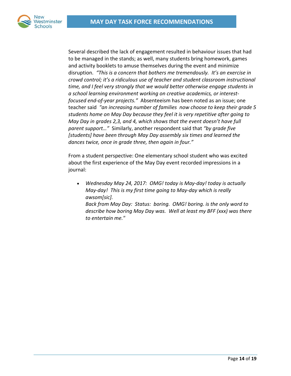

Several described the lack of engagement resulted in behaviour issues that had to be managed in the stands; as well, many students bring homework, games and activity booklets to amuse themselves during the event and minimize disruption. *"This is a concern that bothers me tremendously. It's an exercise in crowd control; it's a ridiculous use of teacher and student classroom instructional time, and I feel very strongly that we would better otherwise engage students in a school learning environment working on creative academics, or interest‐ focused end‐of‐year projects."* Absenteeism has been noted as an issue; one teacher said *"an increasing number of families now choose to keep their grade 5 students home on May Day because they feel it is very repetitive after going to May Day in grades 2,3, and 4, which shows that the event doesn't have full parent support…"* Similarly, another respondent said that *"by grade five [students] have been through May Day assembly six times and learned the dances twice, once in grade three, then again in four."*

From a student perspective: One elementary school student who was excited about the first experience of the May Day event recorded impressions in a journal:

 *Wednesday May 24, 2017: OMG! today is May‐day! today is actually May‐day! This is my first time going to May‐day which is really awsom[sic].*

*Back from May Day: Status: boring. OMG! boring. is the only word to describe how boring May Day was. Well at least my BFF (xxx) was there to entertain me."*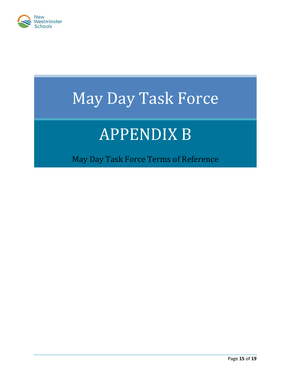

# May Day Task Force

# **APPENDIX B**

May Day Task Force Terms of Reference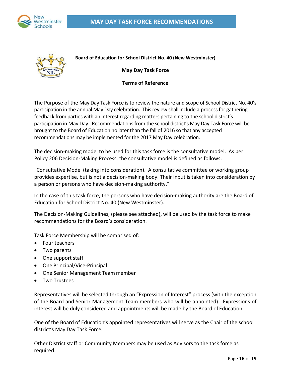



**Board of Education for School District No. 40 (New Westminster)**

**May Day Task Force**

### **Terms of Reference**

The Purpose of the May Day Task Force is to review the nature and scope of School District No. 40's participation in the annual May Day celebration. This review shall include a process for gathering feedback from parties with an interest regarding matters pertaining to the school district's participation in May Day. Recommendations from the school district's May Day Task Force will be brought to the Board of Education no later than the fall of 2016 so that any accepted recommendations may be implemented for the 2017 May Day celebration.

The decision-making model to be used for this task force is the consultative model. As per Policy 206 Decision-Making Process, the consultative model is defined as follows:

"Consultative Model (taking into consideration). A consultative committee or working group provides expertise, but is not a decision‐making body. Their input is taken into consideration by a person or persons who have decision‐making authority."

In the case of this task force, the persons who have decision‐making authority are the Board of Education for School District No. 40 (New Westminster).

The Decision‐Making Guidelines, (please see attached), will be used by the task force to make recommendations for the Board's consideration.

Task Force Membership will be comprised of:

- Four teachers
- Two parents
- One support staff
- One Principal/Vice-Principal
- One Senior Management Team member
- Two Trustees

Representatives will be selected through an "Expression of Interest" process (with the exception of the Board and Senior Management Team members who will be appointed). Expressions of interest will be duly considered and appointments will be made by the Board of Education.

One of the Board of Education's appointed representatives will serve as the Chair of the school district's May Day Task Force.

Other District staff or Community Members may be used as Advisors to the task force as required.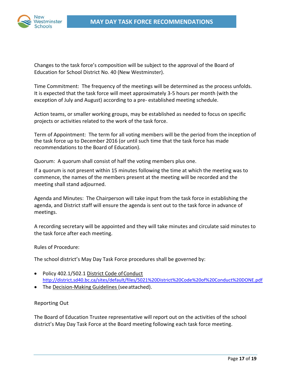Changes to the task force's composition will be subject to the approval of the Board of Education for School District No. 40 (New Westminster).

Time Commitment: The frequency of the meetings will be determined as the process unfolds. It is expected that the task force will meet approximately 3‐5 hours per month (with the exception of July and August) according to a pre‐ established meeting schedule.

Action teams, or smaller working groups, may be established as needed to focus on specific projects or activities related to the work of the task force.

Term of Appointment: The term for all voting members will be the period from the inception of the task force up to December 2016 (or until such time that the task force has made recommendations to the Board of Education).

Quorum: A quorum shall consist of half the voting members plus one.

If a quorum is not present within 15 minutes following the time at which the meeting was to commence, the names of the members present at the meeting will be recorded and the meeting shall stand adjourned.

Agenda and Minutes: The Chairperson will take input from the task force in establishing the agenda, and District staff will ensure the agenda is sent out to the task force in advance of meetings.

A recording secretary will be appointed and they will take minutes and circulate said minutes to the task force after each meeting.

### Rules of Procedure:

The school district's May Day Task Force procedures shall be governed by:

- Policy 402.1/502.1 District Code of Conduct http://district.sd40.bc.ca/sites/default/files/5021%20District%20Code%20of%20Conduct%20DONE.pdf
- The Decision-Making Guidelines (see attached).

### Reporting Out

The Board of Education Trustee representative will report out on the activities of the school district's May Day Task Force at the Board meeting following each task force meeting.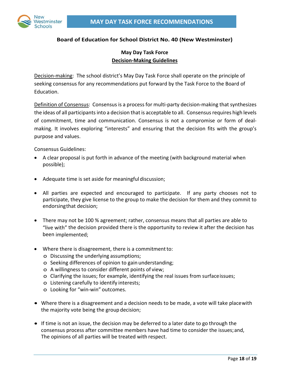

## **Board of Education for School District No. 40 (New Westminster)**

# **May Day Task Force Decision‐Making Guidelines**

Decision-making: The school district's May Day Task Force shall operate on the principle of seeking consensus for any recommendations put forward by the Task Force to the Board of Education.

Definition of Consensus: Consensus is a process for multi-party decision-making that synthesizes the ideas of all participants into a decision that is acceptable to all. Consensus requires high levels of commitment, time and communication. Consensus is not a compromise or form of deal‐ making. It involves exploring "interests" and ensuring that the decision fits with the group's purpose and values.

Consensus Guidelines:

- A clear proposal is put forth in advance of the meeting (with background material when possible);
- Adequate time is set aside for meaningful discussion;
- All parties are expected and encouraged to participate. If any party chooses not to participate, they give license to the group to make the decision for them and they commit to endorsingthat decision;
- There may not be 100 % agreement; rather, consensus means that all parties are able to "live with" the decision provided there is the opportunity to review it after the decision has been implemented;
- Where there is disagreement, there is a commitmentto:
	- o Discussing the underlying assumptions;
	- o Seeking differences of opinion to gain understanding;
	- o A willingness to consider different points of view;
	- o Clarifying the issues; for example, identifying the real issues from surfaceissues;
	- o Listening carefully to identify interests;
	- o Looking for "win‐win" outcomes.
- Where there is a disagreement and a decision needs to be made, a vote will take placewith the majority vote being the group decision;
- If time is not an issue, the decision may be deferred to a later date to go through the consensus process after committee members have had time to consider the issues;and, The opinions of all parties will be treated with respect.